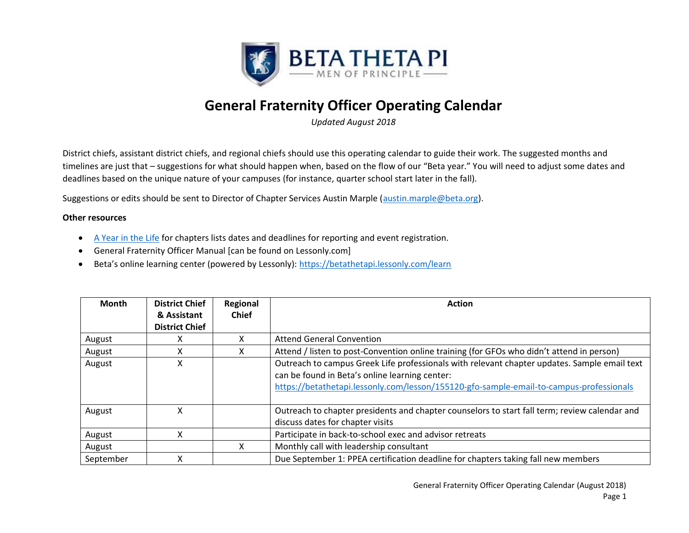

## **General Fraternity Officer Operating Calendar**

*Updated August 2018*

District chiefs, assistant district chiefs, and regional chiefs should use this operating calendar to guide their work. The suggested months and timelines are just that – suggestions for what should happen when, based on the flow of our "Beta year." You will need to adjust some dates and deadlines based on the unique nature of your campuses (for instance, quarter school start later in the fall).

Suggestions or edits should be sent to Director of Chapter Services Austin Marple (austin.marple@beta.org).

## **Other resources**

- A Year in the Life for chapters lists dates and deadlines for reporting and event registration.
- General Fraternity Officer Manual [can be found on Lessonly.com]
- Beta's online learning center (powered by Lessonly): https://betathetapi.lessonly.com/learn

| <b>Month</b> | <b>District Chief</b><br>& Assistant<br><b>District Chief</b> | Regional<br><b>Chief</b> | <b>Action</b>                                                                                                                                                                                                                             |  |
|--------------|---------------------------------------------------------------|--------------------------|-------------------------------------------------------------------------------------------------------------------------------------------------------------------------------------------------------------------------------------------|--|
| August       |                                                               | $\lambda$                | <b>Attend General Convention</b>                                                                                                                                                                                                          |  |
| August       | ᄉ                                                             | x                        | Attend / listen to post-Convention online training (for GFOs who didn't attend in person)                                                                                                                                                 |  |
| August       | x                                                             |                          | Outreach to campus Greek Life professionals with relevant chapter updates. Sample email text<br>can be found in Beta's online learning center:<br>https://betathetapi.lessonly.com/lesson/155120-gfo-sample-email-to-campus-professionals |  |
| August       | χ                                                             |                          | Outreach to chapter presidents and chapter counselors to start fall term; review calendar and<br>discuss dates for chapter visits                                                                                                         |  |
| August       | x                                                             |                          | Participate in back-to-school exec and advisor retreats                                                                                                                                                                                   |  |
| August       |                                                               | x                        | Monthly call with leadership consultant                                                                                                                                                                                                   |  |
| September    | χ                                                             |                          | Due September 1: PPEA certification deadline for chapters taking fall new members                                                                                                                                                         |  |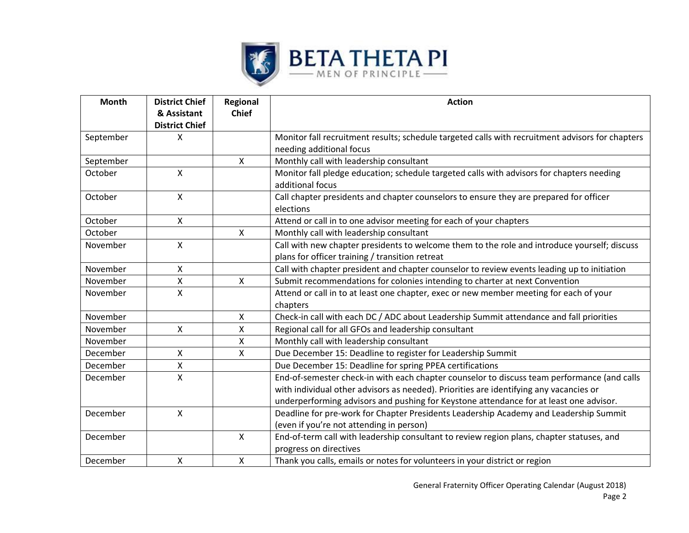

| <b>Month</b> | <b>District Chief</b><br>& Assistant<br><b>District Chief</b> | Regional<br><b>Chief</b> | <b>Action</b>                                                                                                       |  |
|--------------|---------------------------------------------------------------|--------------------------|---------------------------------------------------------------------------------------------------------------------|--|
| September    | X                                                             |                          | Monitor fall recruitment results; schedule targeted calls with recruitment advisors for chapters                    |  |
|              |                                                               |                          | needing additional focus                                                                                            |  |
| September    |                                                               | $\mathsf{x}$             | Monthly call with leadership consultant                                                                             |  |
| October      | X                                                             |                          | Monitor fall pledge education; schedule targeted calls with advisors for chapters needing<br>additional focus       |  |
| October      | X                                                             |                          | Call chapter presidents and chapter counselors to ensure they are prepared for officer<br>elections                 |  |
| October      | $\mathsf{X}$                                                  |                          | Attend or call in to one advisor meeting for each of your chapters                                                  |  |
| October      |                                                               | $\mathsf{X}$             | Monthly call with leadership consultant                                                                             |  |
| November     | X                                                             |                          | Call with new chapter presidents to welcome them to the role and introduce yourself; discuss                        |  |
|              |                                                               |                          | plans for officer training / transition retreat                                                                     |  |
| November     | $\mathsf{X}$                                                  |                          | Call with chapter president and chapter counselor to review events leading up to initiation                         |  |
| November     | X                                                             | X                        | Submit recommendations for colonies intending to charter at next Convention                                         |  |
| November     | X                                                             |                          | Attend or call in to at least one chapter, exec or new member meeting for each of your                              |  |
|              |                                                               |                          | chapters                                                                                                            |  |
| November     |                                                               | $\mathsf{X}$             | Check-in call with each DC / ADC about Leadership Summit attendance and fall priorities                             |  |
| November     | $\mathsf{X}$                                                  | X                        | Regional call for all GFOs and leadership consultant                                                                |  |
| November     |                                                               | X                        | Monthly call with leadership consultant                                                                             |  |
| December     | X                                                             | $\mathsf{X}$             | Due December 15: Deadline to register for Leadership Summit                                                         |  |
| December     | X                                                             |                          | Due December 15: Deadline for spring PPEA certifications                                                            |  |
| December     | X                                                             |                          | End-of-semester check-in with each chapter counselor to discuss team performance (and calls                         |  |
|              |                                                               |                          | with individual other advisors as needed). Priorities are identifying any vacancies or                              |  |
|              |                                                               |                          | underperforming advisors and pushing for Keystone attendance for at least one advisor.                              |  |
| December     | X                                                             |                          | Deadline for pre-work for Chapter Presidents Leadership Academy and Leadership Summit                               |  |
|              |                                                               |                          | (even if you're not attending in person)                                                                            |  |
| December     |                                                               | $\mathsf{X}$             | End-of-term call with leadership consultant to review region plans, chapter statuses, and<br>progress on directives |  |
| December     | X                                                             | $\mathsf{X}$             | Thank you calls, emails or notes for volunteers in your district or region                                          |  |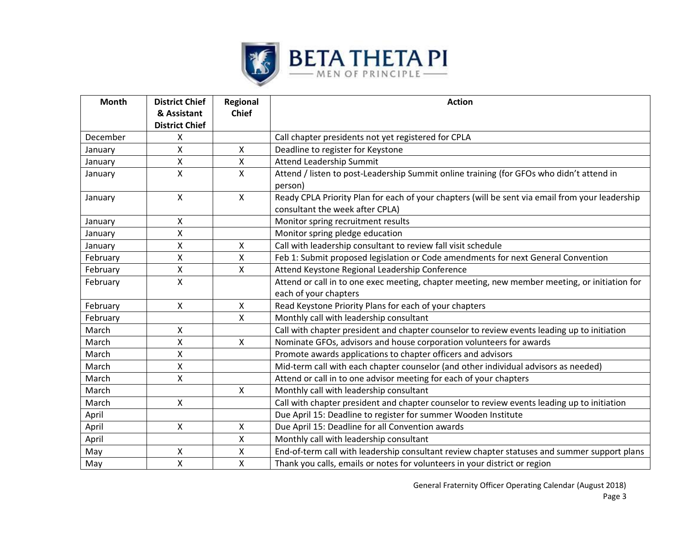

| <b>Month</b> | <b>District Chief</b><br>& Assistant | Regional<br><b>Chief</b> | <b>Action</b>                                                                                                                      |  |
|--------------|--------------------------------------|--------------------------|------------------------------------------------------------------------------------------------------------------------------------|--|
|              | <b>District Chief</b>                |                          |                                                                                                                                    |  |
| December     | X                                    |                          | Call chapter presidents not yet registered for CPLA                                                                                |  |
| January      | X                                    | X                        | Deadline to register for Keystone                                                                                                  |  |
| January      | X                                    | $\mathsf{x}$             | Attend Leadership Summit                                                                                                           |  |
| January      | $\mathsf{x}$                         | $\mathsf{X}$             | Attend / listen to post-Leadership Summit online training (for GFOs who didn't attend in<br>person)                                |  |
| January      | $\mathsf{x}$                         | $\mathsf{x}$             | Ready CPLA Priority Plan for each of your chapters (will be sent via email from your leadership<br>consultant the week after CPLA) |  |
| January      | X                                    |                          | Monitor spring recruitment results                                                                                                 |  |
| January      | X                                    |                          | Monitor spring pledge education                                                                                                    |  |
| January      | X                                    | $\mathsf{X}$             | Call with leadership consultant to review fall visit schedule                                                                      |  |
| February     | Χ                                    | $\pmb{\times}$           | Feb 1: Submit proposed legislation or Code amendments for next General Convention                                                  |  |
| February     | X                                    | $\mathsf{x}$             | Attend Keystone Regional Leadership Conference                                                                                     |  |
| February     | X                                    |                          | Attend or call in to one exec meeting, chapter meeting, new member meeting, or initiation for<br>each of your chapters             |  |
| February     | X                                    | $\mathsf{X}$             | Read Keystone Priority Plans for each of your chapters                                                                             |  |
| February     |                                      | X                        | Monthly call with leadership consultant                                                                                            |  |
| March        | $\mathsf{X}$                         |                          | Call with chapter president and chapter counselor to review events leading up to initiation                                        |  |
| March        | X                                    | X                        | Nominate GFOs, advisors and house corporation volunteers for awards                                                                |  |
| March        | X                                    |                          | Promote awards applications to chapter officers and advisors                                                                       |  |
| March        | X                                    |                          | Mid-term call with each chapter counselor (and other individual advisors as needed)                                                |  |
| March        | X                                    |                          | Attend or call in to one advisor meeting for each of your chapters                                                                 |  |
| March        |                                      | $\mathsf{x}$             | Monthly call with leadership consultant                                                                                            |  |
| March        | X                                    |                          | Call with chapter president and chapter counselor to review events leading up to initiation                                        |  |
| April        |                                      |                          | Due April 15: Deadline to register for summer Wooden Institute                                                                     |  |
| April        | $\mathsf{X}$                         | X                        | Due April 15: Deadline for all Convention awards                                                                                   |  |
| April        |                                      | X                        | Monthly call with leadership consultant                                                                                            |  |
| May          | х                                    | X                        | End-of-term call with leadership consultant review chapter statuses and summer support plans                                       |  |
| May          | $\mathsf{X}$                         | $\overline{\mathsf{X}}$  | Thank you calls, emails or notes for volunteers in your district or region                                                         |  |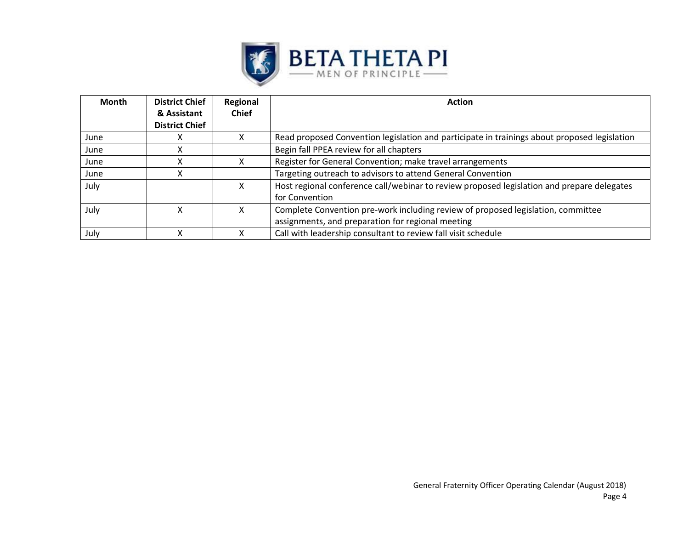

| <b>Month</b> | <b>District Chief</b> | Regional     | <b>Action</b>                                                                                |  |
|--------------|-----------------------|--------------|----------------------------------------------------------------------------------------------|--|
|              | & Assistant           | <b>Chief</b> |                                                                                              |  |
|              | <b>District Chief</b> |              |                                                                                              |  |
| June         |                       |              | Read proposed Convention legislation and participate in trainings about proposed legislation |  |
| June         |                       |              | Begin fall PPEA review for all chapters                                                      |  |
| June         |                       | x            | Register for General Convention; make travel arrangements                                    |  |
| June         |                       |              | Targeting outreach to advisors to attend General Convention                                  |  |
| July         |                       | x            | Host regional conference call/webinar to review proposed legislation and prepare delegates   |  |
|              |                       |              | for Convention                                                                               |  |
| July         |                       | x            | Complete Convention pre-work including review of proposed legislation, committee             |  |
|              |                       |              | assignments, and preparation for regional meeting                                            |  |
| July         |                       |              | Call with leadership consultant to review fall visit schedule                                |  |